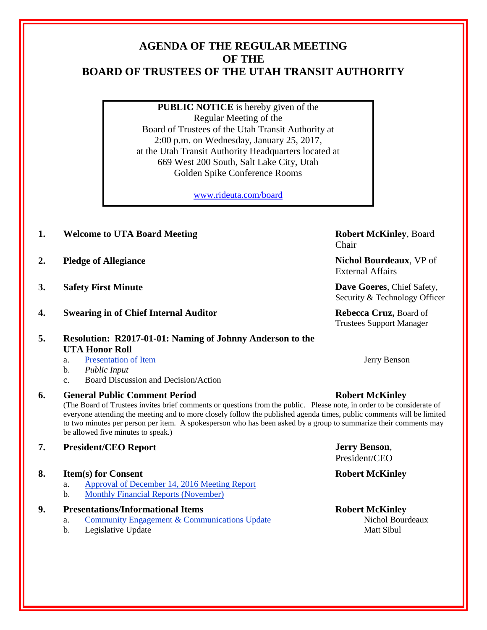# **AGENDA OF THE REGULAR MEETING OF THE BOARD OF TRUSTEES OF THE UTAH TRANSIT AUTHORITY**

**PUBLIC NOTICE** is hereby given of the Regular Meeting of the Board of Trustees of the Utah Transit Authority at 2:00 p.m. on Wednesday, January 25, 2017, at the Utah Transit Authority Headquarters located at 669 West 200 South, Salt Lake City, Utah Golden Spike Conference Rooms

[www.rideuta.com/board](http://www.rideuta.com/board)

- **1. Welcome to UTA Board Meeting <b>Robert McKinley**, Board
- **2. Pledge of Allegiance Nichol Bourdeaux**, VP of
- **3. Safety First Minute Dave Goeres**, Chief Safety,
- **4. Swearing in of Chief Internal Auditor Rebecca Cruz,** Board of
- **5. Resolution: R2017-01-01: Naming of Johnny Anderson to the UTA Honor Roll**
	- a. Presentation of Item Jerry Benson
	- b. *Public Input*
	- c. Board Discussion and Decision/Action
- **6. General Public Comment Period Robert McKinley**

(The Board of Trustees invites brief comments or questions from the public. Please note, in order to be considerate of everyone attending the meeting and to more closely follow the published agenda times, public comments will be limited to two minutes per person per item. A spokesperson who has been asked by a group to summarize their comments may be allowed five minutes to speak.)

**7. President/CEO Report Jerry Benson**,

## **8. Item(s) for Consent Robert McKinley**

- a. Approval of December 14, 2016 Meeting Report
- b. Monthly Financial Reports (November)

## **9. Presentations/Informational Items Robert McKinley**

- a. Community Engagement & Communications Update Nichol Bourdeaux
- b. Legislative Update **Matt Sibul** Matt Sibul

Chair

External Affairs

Security & Technology Officer

Trustees Support Manager

President/CEO